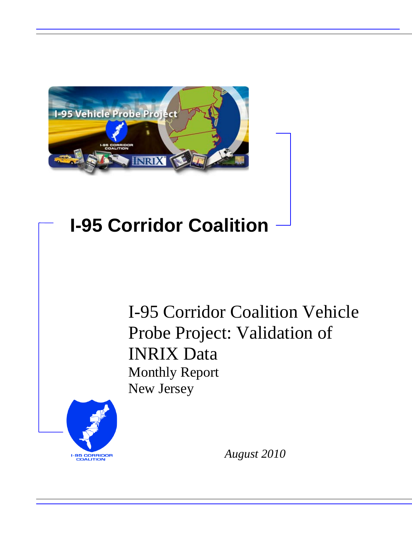

## **I-95 Corridor Coalition**

I-95 Corridor Coalition Vehicle Probe Project: Validation of INRIX Data Monthly Report New Jersey



*August 2010*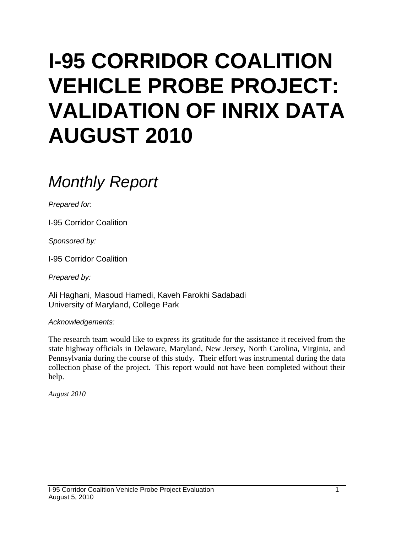# **I-95 CORRIDOR COALITION VEHICLE PROBE PROJECT: VALIDATION OF INRIX DATA AUGUST 2010**

## *Monthly Report*

*Prepared for:*

I-95 Corridor Coalition

*Sponsored by:*

I-95 Corridor Coalition

*Prepared by:*

Ali Haghani, Masoud Hamedi, Kaveh Farokhi Sadabadi University of Maryland, College Park

*Acknowledgements:*

The research team would like to express its gratitude for the assistance it received from the state highway officials in Delaware, Maryland, New Jersey, North Carolina, Virginia, and Pennsylvania during the course of this study. Their effort was instrumental during the data collection phase of the project. This report would not have been completed without their help.

*August 2010*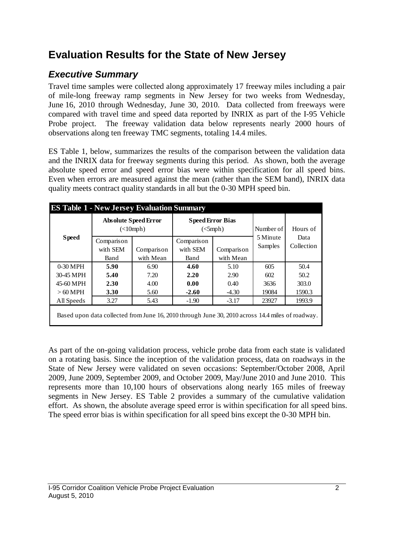## **Evaluation Results for the State of New Jersey**

## *Executive Summary*

Travel time samples were collected along approximately 17 freeway miles including a pair of mile-long freeway ramp segments in New Jersey for two weeks from Wednesday, June 16, 2010 through Wednesday, June 30, 2010. Data collected from freeways were compared with travel time and speed data reported by INRIX as part of the I-95 Vehicle Probe project. The freeway validation data below represents nearly 2000 hours of observations along ten freeway TMC segments, totaling 14.4 miles.

ES Table 1, below, summarizes the results of the comparison between the validation data and the INRIX data for freeway segments during this period. As shown, both the average absolute speed error and speed error bias were within specification for all speed bins. Even when errors are measured against the mean (rather than the SEM band), INRIX data quality meets contract quality standards in all but the 0-30 MPH speed bin.

| <b>ES Table 1 - New Jersey Evaluation Summary</b> |                                                                                                  |                                                           |                                            |            |                     |                    |  |  |  |  |
|---------------------------------------------------|--------------------------------------------------------------------------------------------------|-----------------------------------------------------------|--------------------------------------------|------------|---------------------|--------------------|--|--|--|--|
|                                                   |                                                                                                  | <b>Absolute Speed Error</b><br>$(\langle 10 \text{ mph})$ | <b>Speed Error Bias</b><br>$\left($ <5mph) |            | Number of           | Hours of           |  |  |  |  |
| <b>Speed</b>                                      | Comparison<br>with SEM                                                                           | Comparison                                                | Comparison<br>with SEM                     | Comparison | 5 Minute<br>Samples | Data<br>Collection |  |  |  |  |
|                                                   | Band                                                                                             | with Mean                                                 | Band                                       | with Mean  |                     |                    |  |  |  |  |
| $0-30$ MPH                                        | 5.90                                                                                             | 6.90                                                      | 4.60                                       | 5.10       | 605                 | 50.4               |  |  |  |  |
| 30-45 MPH                                         | 5.40                                                                                             | 7.20                                                      | 2.20                                       | 2.90       | 602                 | 50.2               |  |  |  |  |
| 45-60 MPH                                         | 2.30                                                                                             | 4.00                                                      | 0.00                                       | 0.40       | 3636                | 303.0              |  |  |  |  |
| $>60$ MPH                                         | 3.30                                                                                             | 5.60                                                      | $-2.60$                                    | $-4.30$    | 19084               | 1590.3             |  |  |  |  |
| All Speeds                                        | 3.27                                                                                             | 5.43                                                      | $-1.90$                                    | $-3.17$    | 23927               | 1993.9             |  |  |  |  |
|                                                   | Based upon data collected from June 16, 2010 through June 30, 2010 across 14.4 miles of roadway. |                                                           |                                            |            |                     |                    |  |  |  |  |

As part of the on-going validation process, vehicle probe data from each state is validated on a rotating basis. Since the inception of the validation process, data on roadways in the State of New Jersey were validated on seven occasions: September/October 2008, April 2009, June 2009, September 2009, and October 2009, May/June 2010 and June 2010. This represents more than 10,100 hours of observations along nearly 165 miles of freeway segments in New Jersey. ES Table 2 provides a summary of the cumulative validation effort. As shown, the absolute average speed error is within specification for all speed bins. The speed error bias is within specification for all speed bins except the 0-30 MPH bin.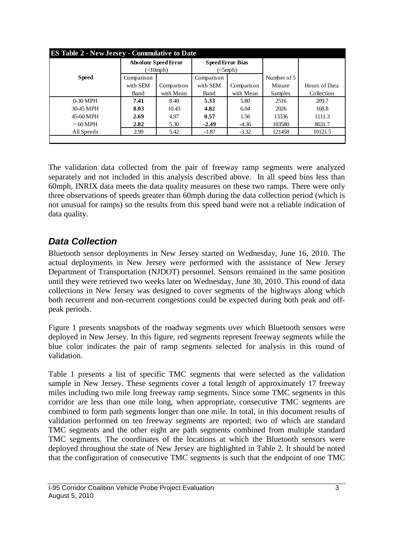| <b>ES Table 2 - New Jersey - Cummulative to Date</b> |            |                             |                         |                               |             |               |  |  |  |
|------------------------------------------------------|------------|-----------------------------|-------------------------|-------------------------------|-------------|---------------|--|--|--|
|                                                      |            | <b>Absolute Speed Error</b> | <b>Speed Error Bias</b> |                               |             |               |  |  |  |
|                                                      |            | $\left($ <10mph)            |                         | $\left($ $\leq$ mph $\right)$ |             |               |  |  |  |
| <b>Speed</b>                                         | Comparison |                             | Comparison              |                               | Number of 5 |               |  |  |  |
|                                                      | with SEM   | Comparison                  | with SEM                | Comparison                    | Minute      | Hours of Data |  |  |  |
|                                                      | Band       | with Mean                   | Band                    | with Mean                     | Samples     | Collection    |  |  |  |
| $0-30$ MPH                                           | 7.41       | 8.48                        | 5.33                    | 5.80                          | 2516        | 209.7         |  |  |  |
| 30-45 MPH                                            | 8.03       | 10.43                       | 4.82                    | 6.04                          | 2026        | 168.8         |  |  |  |
| 45-60 MPH                                            | 2.69       | 4.97                        | 0.57                    | 1.56                          | 13336       | 1111.3        |  |  |  |
| $>60$ MPH                                            | 2.82       | 5.30                        | $-2.49$                 | $-4.36$                       | 103580      | 8631.7        |  |  |  |
| All Speeds                                           | 2.99       | 5.42                        | $-1.87$                 | $-3.32$                       | 121458      | 10121.5       |  |  |  |
|                                                      |            |                             |                         |                               |             |               |  |  |  |

The validation data collected from the pair of freeway ramp segments were analyzed separately and not included in this analysis described above. In all speed bins less than 60mph, INRIX data meets the data quality measures on these two ramps. There were only three observations of speeds greater than 60mph during the data collection period (which is not unusual for ramps) so the results from this speed band were not a reliable indication of data quality.

### *Data Collection*

Bluetooth sensor deployments in New Jersey started on Wednesday, June 16, 2010. The actual deployments in New Jersey were performed with the assistance of New Jersey Department of Transportation (NJDOT) personnel. Sensors remained in the same position until they were retrieved two weeks later on Wednesday, June 30, 2010. This round of data collections in New Jersey was designed to cover segments of the highways along which both recurrent and non-recurrent congestions could be expected during both peak and offpeak periods.

Figure 1 presents snapshots of the roadway segments over which Bluetooth sensors were deployed in New Jersey. In this figure, red segments represent freeway segments while the blue color indicates the pair of ramp segments selected for analysis in this round of validation.

Table 1 presents a list of specific TMC segments that were selected as the validation sample in New Jersey. These segments cover a total length of approximately 17 freeway miles including two mile long freeway ramp segments. Since some TMC segments in this corridor are less than one mile long, when appropriate, consecutive TMC segments are combined to form path segments longer than one mile. In total, in this document results of validation performed on ten freeway segments are reported; two of which are standard TMC segments and the other eight are path segments combined from multiple standard TMC segments. The coordinates of the locations at which the Bluetooth sensors were deployed throughout the state of New Jersey are highlighted in Table 2. It should be noted that the configuration of consecutive TMC segments is such that the endpoint of one TMC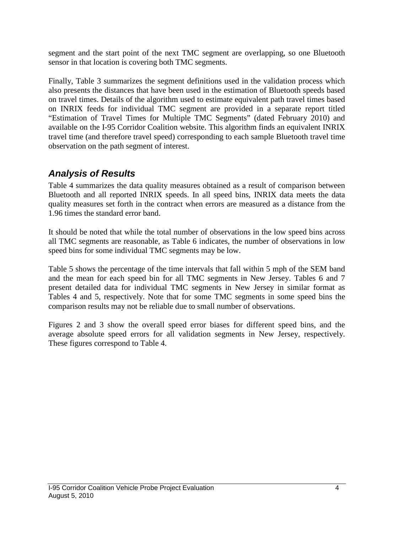segment and the start point of the next TMC segment are overlapping, so one Bluetooth sensor in that location is covering both TMC segments.

Finally, Table 3 summarizes the segment definitions used in the validation process which also presents the distances that have been used in the estimation of Bluetooth speeds based on travel times. Details of the algorithm used to estimate equivalent path travel times based on INRIX feeds for individual TMC segment are provided in a separate report titled "Estimation of Travel Times for Multiple TMC Segments" (dated February 2010) and available on the I-95 Corridor Coalition website. This algorithm finds an equivalent INRIX travel time (and therefore travel speed) corresponding to each sample Bluetooth travel time observation on the path segment of interest.

## *Analysis of Results*

Table 4 summarizes the data quality measures obtained as a result of comparison between Bluetooth and all reported INRIX speeds. In all speed bins, INRIX data meets the data quality measures set forth in the contract when errors are measured as a distance from the 1.96 times the standard error band.

It should be noted that while the total number of observations in the low speed bins across all TMC segments are reasonable, as Table 6 indicates, the number of observations in low speed bins for some individual TMC segments may be low.

Table 5 shows the percentage of the time intervals that fall within 5 mph of the SEM band and the mean for each speed bin for all TMC segments in New Jersey. Tables 6 and 7 present detailed data for individual TMC segments in New Jersey in similar format as Tables 4 and 5, respectively. Note that for some TMC segments in some speed bins the comparison results may not be reliable due to small number of observations.

Figures 2 and 3 show the overall speed error biases for different speed bins, and the average absolute speed errors for all validation segments in New Jersey, respectively. These figures correspond to Table 4.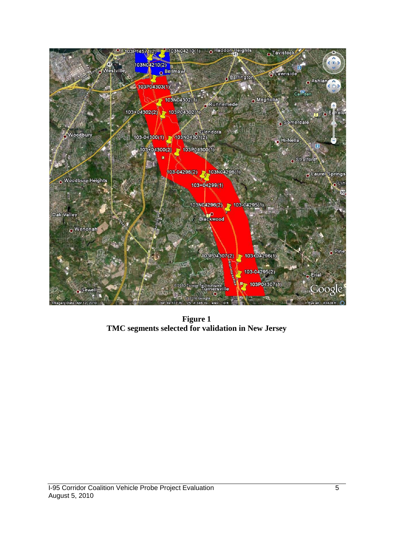

**Figure 1 TMC segments selected for validation in New Jersey**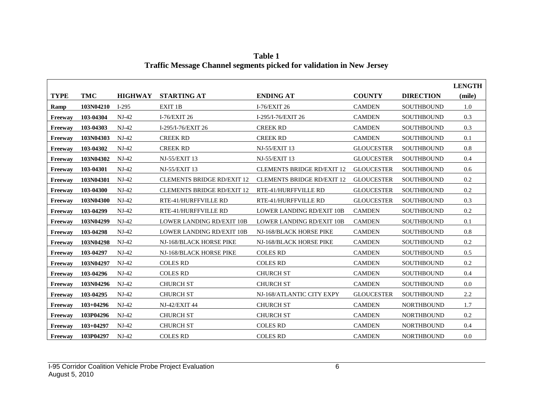|             |               |                |                                   |                                   |                   |                   | <b>LENGTH</b> |
|-------------|---------------|----------------|-----------------------------------|-----------------------------------|-------------------|-------------------|---------------|
| <b>TYPE</b> | <b>TMC</b>    | <b>HIGHWAY</b> | <b>STARTING AT</b>                | <b>ENDING AT</b>                  | <b>COUNTY</b>     | <b>DIRECTION</b>  | (mile)        |
| Ramp        | 103N04210     | $I-295$        | EXIT <sub>1B</sub>                | I-76/EXIT 26                      | <b>CAMDEN</b>     | <b>SOUTHBOUND</b> | 1.0           |
| Freeway     | 103-04304     | $NJ-42$        | I-76/EXIT 26                      | I-295/I-76/EXIT 26                | <b>CAMDEN</b>     | <b>SOUTHBOUND</b> | 0.3           |
| Freeway     | 103-04303     | $NJ-42$        | I-295/I-76/EXIT 26                | <b>CREEK RD</b>                   | <b>CAMDEN</b>     | SOUTHBOUND        | 0.3           |
| Freeway     | 103N04303     | $NJ-42$        | <b>CREEK RD</b>                   | <b>CREEK RD</b>                   | <b>CAMDEN</b>     | <b>SOUTHBOUND</b> | 0.1           |
| Freeway     | 103-04302     | $NJ-42$        | <b>CREEK RD</b>                   | <b>NJ-55/EXIT 13</b>              | <b>GLOUCESTER</b> | <b>SOUTHBOUND</b> | 0.8           |
| Freeway     | 103N04302     | $NJ-42$        | <b>NJ-55/EXIT 13</b>              | <b>NJ-55/EXIT 13</b>              | <b>GLOUCESTER</b> | <b>SOUTHBOUND</b> | 0.4           |
| Freeway     | 103-04301     | $NJ-42$        | <b>NJ-55/EXIT 13</b>              | <b>CLEMENTS BRIDGE RD/EXIT 12</b> | <b>GLOUCESTER</b> | <b>SOUTHBOUND</b> | 0.6           |
| Freeway     | 103N04301     | $NJ-42$        | <b>CLEMENTS BRIDGE RD/EXIT 12</b> | <b>CLEMENTS BRIDGE RD/EXIT 12</b> | <b>GLOUCESTER</b> | <b>SOUTHBOUND</b> | $0.2\,$       |
| Freeway     | 103-04300     | $NJ-42$        | <b>CLEMENTS BRIDGE RD/EXIT 12</b> | RTE-41/HURFFVILLE RD              | <b>GLOUCESTER</b> | <b>SOUTHBOUND</b> | 0.2           |
| Freeway     | 103N04300     | $NJ-42$        | RTE-41/HURFFVILLE RD              | RTE-41/HURFFVILLE RD              | <b>GLOUCESTER</b> | <b>SOUTHBOUND</b> | 0.3           |
| Freeway     | 103-04299     | $NJ-42$        | RTE-41/HURFFVILLE RD              | <b>LOWER LANDING RD/EXIT 10B</b>  | <b>CAMDEN</b>     | <b>SOUTHBOUND</b> | 0.2           |
| Freeway     | 103N04299     | $NJ-42$        | <b>LOWER LANDING RD/EXIT 10B</b>  | LOWER LANDING RD/EXIT 10B         | <b>CAMDEN</b>     | <b>SOUTHBOUND</b> | 0.1           |
| Freeway     | 103-04298     | $NJ-42$        | <b>LOWER LANDING RD/EXIT 10B</b>  | NJ-168/BLACK HORSE PIKE           | <b>CAMDEN</b>     | <b>SOUTHBOUND</b> | 0.8           |
| Freeway     | 103N04298     | $NJ-42$        | NJ-168/BLACK HORSE PIKE           | NJ-168/BLACK HORSE PIKE           | <b>CAMDEN</b>     | <b>SOUTHBOUND</b> | $0.2\,$       |
| Freeway     | 103-04297     | $NJ-42$        | NJ-168/BLACK HORSE PIKE           | <b>COLES RD</b>                   | <b>CAMDEN</b>     | <b>SOUTHBOUND</b> | 0.5           |
| Freeway     | 103N04297     | $NJ-42$        | <b>COLES RD</b>                   | <b>COLES RD</b>                   | <b>CAMDEN</b>     | <b>SOUTHBOUND</b> | 0.2           |
| Freeway     | 103-04296     | $NJ-42$        | <b>COLES RD</b>                   | <b>CHURCH ST</b>                  | <b>CAMDEN</b>     | <b>SOUTHBOUND</b> | 0.4           |
| Freeway     | 103N04296     | $NJ-42$        | <b>CHURCH ST</b>                  | <b>CHURCH ST</b>                  | <b>CAMDEN</b>     | <b>SOUTHBOUND</b> | 0.0           |
| Freeway     | 103-04295     | $NJ-42$        | <b>CHURCH ST</b>                  | NJ-168/ATLANTIC CITY EXPY         | <b>GLOUCESTER</b> | <b>SOUTHBOUND</b> | 2.2           |
| Freeway     | $103+04296$   | $NJ-42$        | <b>NJ-42/EXIT 44</b>              | <b>CHURCH ST</b>                  | <b>CAMDEN</b>     | <b>NORTHBOUND</b> | 1.7           |
| Freeway     | 103P04296     | $NJ-42$        | <b>CHURCH ST</b>                  | <b>CHURCH ST</b>                  | <b>CAMDEN</b>     | <b>NORTHBOUND</b> | 0.2           |
| Freeway     | $103 + 04297$ | $NJ-42$        | <b>CHURCH ST</b>                  | <b>COLES RD</b>                   | <b>CAMDEN</b>     | <b>NORTHBOUND</b> | 0.4           |
| Freeway     | 103P04297     | $NJ-42$        | <b>COLES RD</b>                   | <b>COLES RD</b>                   | <b>CAMDEN</b>     | <b>NORTHBOUND</b> | 0.0           |

**Table 1 Traffic Message Channel segments picked for validation in New Jersey**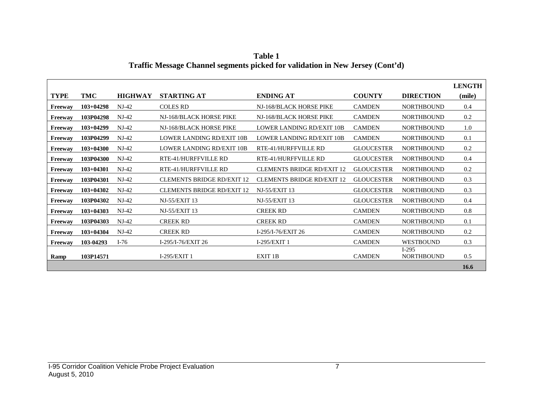| Table 1                                                                       |
|-------------------------------------------------------------------------------|
| Traffic Message Channel segments picked for validation in New Jersey (Cont'd) |

|             |               |                |                                   |                                   |                   |                              | <b>LENGTH</b> |
|-------------|---------------|----------------|-----------------------------------|-----------------------------------|-------------------|------------------------------|---------------|
| <b>TYPE</b> | <b>TMC</b>    | <b>HIGHWAY</b> | <b>STARTING AT</b>                | <b>ENDING AT</b>                  | <b>COUNTY</b>     | <b>DIRECTION</b>             | (mile)        |
| Freeway     | $103+04298$   | $NJ-42$        | <b>COLES RD</b>                   | NJ-168/BLACK HORSE PIKE           | <b>CAMDEN</b>     | <b>NORTHBOUND</b>            | 0.4           |
| Freeway     | 103P04298     | $NJ-42$        | NJ-168/BLACK HORSE PIKE           | NJ-168/BLACK HORSE PIKE           | <b>CAMDEN</b>     | <b>NORTHBOUND</b>            | 0.2           |
| Freeway     | $103+04299$   | $NJ-42$        | NJ-168/BLACK HORSE PIKE           | LOWER LANDING RD/EXIT 10B         | <b>CAMDEN</b>     | <b>NORTHBOUND</b>            | 1.0           |
| Freeway     | 103P04299     | $NJ-42$        | LOWER LANDING RD/EXIT 10B         | LOWER LANDING RD/EXIT 10B         | <b>CAMDEN</b>     | <b>NORTHBOUND</b>            | 0.1           |
| Freeway     | $103+04300$   | $NJ-42$        | LOWER LANDING RD/EXIT 10B         | RTE-41/HURFFVILLE RD              | <b>GLOUCESTER</b> | <b>NORTHBOUND</b>            | 0.2           |
| Freeway     | 103P04300     | $NJ-42$        | RTE-41/HURFFVILLE RD              | RTE-41/HURFFVILLE RD              | <b>GLOUCESTER</b> | <b>NORTHBOUND</b>            | 0.4           |
| Freeway     | $103+04301$   | $NJ-42$        | RTE-41/HURFFVILLE RD              | <b>CLEMENTS BRIDGE RD/EXIT 12</b> | <b>GLOUCESTER</b> | <b>NORTHBOUND</b>            | 0.2           |
| Freeway     | 103P04301     | $NJ-42$        | <b>CLEMENTS BRIDGE RD/EXIT 12</b> | <b>CLEMENTS BRIDGE RD/EXIT 12</b> | <b>GLOUCESTER</b> | <b>NORTHBOUND</b>            | 0.3           |
| Freeway     | $103 + 04302$ | $NJ-42$        | <b>CLEMENTS BRIDGE RD/EXIT 12</b> | <b>NJ-55/EXIT 13</b>              | <b>GLOUCESTER</b> | <b>NORTHBOUND</b>            | 0.3           |
| Freeway     | 103P04302     | $NJ-42$        | NJ-55/EXIT 13                     | <b>NJ-55/EXIT 13</b>              | <b>GLOUCESTER</b> | <b>NORTHBOUND</b>            | 0.4           |
| Freeway     | $103 + 04303$ | $NJ-42$        | NJ-55/EXIT 13                     | <b>CREEK RD</b>                   | <b>CAMDEN</b>     | <b>NORTHBOUND</b>            | 0.8           |
| Freeway     | 103P04303     | $NJ-42$        | <b>CREEK RD</b>                   | <b>CREEK RD</b>                   | <b>CAMDEN</b>     | <b>NORTHBOUND</b>            | 0.1           |
| Freeway     | $103+04304$   | $NJ-42$        | <b>CREEK RD</b>                   | I-295/I-76/EXIT 26                | <b>CAMDEN</b>     | <b>NORTHBOUND</b>            | 0.2           |
| Freeway     | 103-04293     | $I-76$         | I-295/I-76/EXIT 26                | $I-295/EXIT1$                     | <b>CAMDEN</b>     | <b>WESTBOUND</b>             | 0.3           |
| Ramp        | 103P14571     |                | $I-295/EXIT1$                     | EXIT 1B                           | <b>CAMDEN</b>     | $I-295$<br><b>NORTHBOUND</b> | 0.5           |
|             |               |                |                                   |                                   |                   |                              | 16.6          |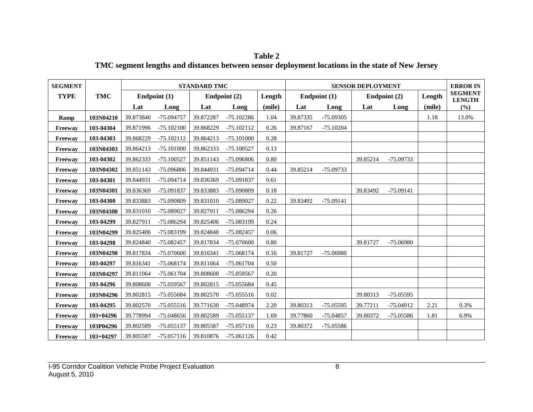**SEGMENT STANDARD TMC SENSOR DEPLOYMENT ERROR IN SEGMENT LENGTH (%) TYPE TMC Endpoint (1) Endpoint (2) Length Endpoint (1) Endpoint (2) Length Lat Long Lat Long (mile) Lat Long Lat Long (mile) Ramp** 103N04210 39.873840 -75.094757 39.872287 -75.102286 1.04 39.87335 -75.09305 1.18 1.18 13.0% **Freeway 103-04304** 39.871996 -75.102100 39.868229 -75.102112 0.26 39.87167 -75.10204 **Freeway 103-04303** 39.868229 -75.102112 39.864213 -75.101000 0.28 **Freeway 103N04303** 39.864213 -75.101000 39.862333 -75.100527 0.13 **Freeway 103-04302** 39.862333 -75.100527 39.851143 -75.096806 0.80 39.85214 -75.09733 **Freeway 103N04302** 39.851143 -75.096806 39.844931 -75.094714 0.44 39.85214 -75.09733 **Freeway 103-04301** 39.844931 -75.094714 39.836369 -75.091837 0.61 **Freeway 103N04301** 39.836369 -75.091837 39.833883 -75.090809 0.18 39.83492 -75.09141 **Freeway 103-04300** 39.833883 -75.090809 39.831010 -75.089027 0.22 39.83492 -75.09141 **Freeway** | 103N04300 | 39.831010 -75.089027 | 39.827911 -75.086294 | 0.26 **Freeway 103-04299** 39.827911 -75.086294 39.825406 -75.083199 0.24 **Freeway** | 103N04299 | 39.825406 -75.083199 | 39.824840 -75.082457 | 0.06 **Freeway 103-04298** 39.824840 -75.082457 39.817834 -75.070600 0.80 39.81727 -75.06980 **Freeway 103N04298** 39.817834 -75.070600 39.816341 -75.068174 0.16 39.81727 -75.06980 **Freeway 103-04297** 39.816341 -75.068174 39.811064 -75.061704 0.50 **Freeway 103N04297** 39.811064 -75.061704 39.808608 -75.059567 0.20 **Freeway 103-04296** 39.808608 -75.059567 39.802815 -75.055684 0.45 **Freeway 103N04296** 39.802815 -75.055684 39.802570 -75.055516 0.02 39.80313 -75.05595 **Freeway 103-04295** 39.802570 -75.055516 39.771630 -75.048974 2.20 39.80313 -75.05595 39.77211 -75.04912 2.21 0.3% **Freeway 103+04296** 39.778994 -75.048656 39.802589 -75.055137 1.69 39.77860 -75.04857 39.80372 -75.05586 1.81 6.9% **Freeway | 103P04296** | 39.802589 -75.055137 | 39.805587 -75.057116 | 0.23 | 39.80372 -75.05586 **Freeway 103+04297** 39.805587 -75.057116 39.810876 -75.061126 0.42

**Table 2 TMC segment lengths and distances between sensor deployment locations in the state of New Jersey**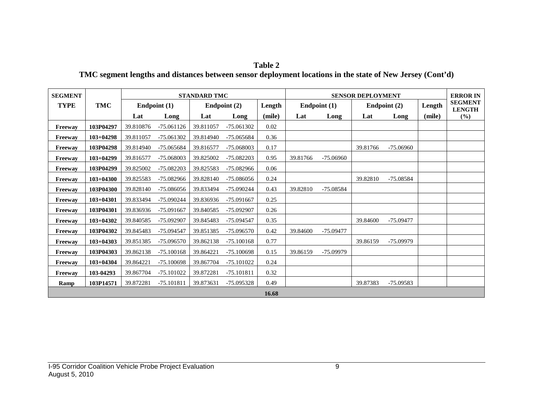#### **Table 2**

### **TMC segment lengths and distances between sensor deployment locations in the state of New Jersey (Cont'd)**

| <b>SEGMENT</b> |               |           |              | <b>STANDARD TMC</b> |              |        | <b>SENSOR DEPLOYMENT</b> |                |          |              |        | <b>ERROR IN</b>                 |
|----------------|---------------|-----------|--------------|---------------------|--------------|--------|--------------------------|----------------|----------|--------------|--------|---------------------------------|
| <b>TYPE</b>    | <b>TMC</b>    |           | Endpoint (1) |                     | Endpoint (2) | Length |                          | Endpoint $(1)$ |          | Endpoint (2) | Length | <b>SEGMENT</b><br><b>LENGTH</b> |
|                |               | Lat       | Long         | Lat                 | Long         | (mile) | Lat                      | Long           | Lat      | Long         | (mile) | (%)                             |
| Freeway        | 103P04297     | 39.810876 | $-75.061126$ | 39.811057           | $-75.061302$ | 0.02   |                          |                |          |              |        |                                 |
| Freeway        | $103 + 04298$ | 39.811057 | -75.061302   | 39.814940           | -75.065684   | 0.36   |                          |                |          |              |        |                                 |
| Freeway        | 103P04298     | 39.814940 | -75.065684   | 39.816577           | -75.068003   | 0.17   |                          |                | 39.81766 | $-75.06960$  |        |                                 |
| Freeway        | $103+04299$   | 39.816577 | -75.068003   | 39.825002           | -75.082203   | 0.95   | 39.81766                 | $-75.06960$    |          |              |        |                                 |
| <b>Freeway</b> | 103P04299     | 39.825002 | -75.082203   | 39.825583           | -75.082966   | 0.06   |                          |                |          |              |        |                                 |
| Freeway        | $103 + 04300$ | 39.825583 | -75.082966   | 39.828140           | $-75.086056$ | 0.24   |                          |                | 39.82810 | $-75.08584$  |        |                                 |
| Freeway        | 103P04300     | 39.828140 | -75.086056   | 39.833494           | $-75.090244$ | 0.43   | 39.82810                 | $-75.08584$    |          |              |        |                                 |
| Freeway        | $103+04301$   | 39.833494 | $-75.090244$ | 39.836936           | -75.091667   | 0.25   |                          |                |          |              |        |                                 |
| Freeway        | 103P04301     | 39.836936 | -75.091667   | 39.840585           | -75.092907   | 0.26   |                          |                |          |              |        |                                 |
| Freeway        | $103 + 04302$ | 39.840585 | -75.092907   | 39.845483           | -75.094547   | 0.35   |                          |                | 39.84600 | $-75.09477$  |        |                                 |
| Freeway        | 103P04302     | 39.845483 | -75.094547   | 39.851385           | $-75.096570$ | 0.42   | 39.84600                 | $-75.09477$    |          |              |        |                                 |
| Freeway        | $103 + 04303$ | 39.851385 | $-75.096570$ | 39.862138           | $-75.100168$ | 0.77   |                          |                | 39.86159 | -75.09979    |        |                                 |
| <b>Freeway</b> | 103P04303     | 39.862138 | $-75.100168$ | 39.864221           | $-75.100698$ | 0.15   | 39.86159                 | $-75.09979$    |          |              |        |                                 |
| Freeway        | $103 + 04304$ | 39.864221 | $-75.100698$ | 39.867704           | $-75.101022$ | 0.24   |                          |                |          |              |        |                                 |
| Freeway        | 103-04293     | 39.867704 | $-75.101022$ | 39.872281           | $-75.101811$ | 0.32   |                          |                |          |              |        |                                 |
| Ramp           | 103P14571     | 39.872281 | -75.101811   | 39.873631           | $-75.095328$ | 0.49   |                          |                | 39.87383 | $-75.09583$  |        |                                 |
|                |               |           |              |                     |              | 16.68  |                          |                |          |              |        |                                 |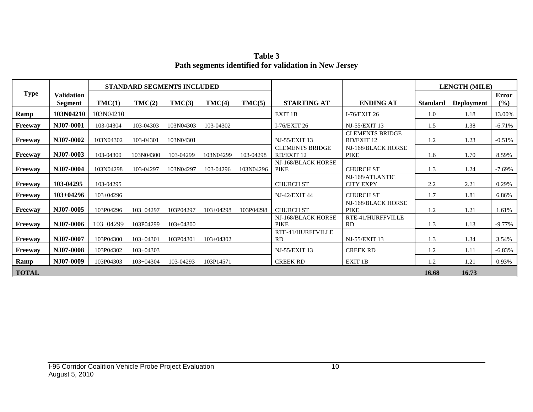**Table 3 Path segments identified for validation in New Jersey**

|                |                              |             | STANDARD SEGMENTS INCLUDED |             |               |           |                                      |                                      |                 | <b>LENGTH (MILE)</b> |              |
|----------------|------------------------------|-------------|----------------------------|-------------|---------------|-----------|--------------------------------------|--------------------------------------|-----------------|----------------------|--------------|
| <b>Type</b>    | <b>Validation</b><br>Segment | TMC(1)      | TMC(2)                     | TMC(3)      | TMC(4)        | TMC(5)    | <b>STARTING AT</b>                   | <b>ENDING AT</b>                     | <b>Standard</b> | <b>Deployment</b>    | Error<br>(%) |
| Ramp           | 103N04210                    | 103N04210   |                            |             |               |           | EXIT 1B                              | I-76/EXIT 26                         | 1.0             | 1.18                 | 13.00%       |
| Freeway        | NJ07-0001                    | 103-04304   | 103-04303                  | 103N04303   | 103-04302     |           | I-76/EXIT 26                         | <b>NJ-55/EXIT 13</b>                 | 1.5             | 1.38                 | $-6.71%$     |
| Freeway        | NJ07-0002                    | 103N04302   | 103-04301                  | 103N04301   |               |           | NJ-55/EXIT 13                        | <b>CLEMENTS BRIDGE</b><br>RD/EXIT 12 | 1.2             | 1.23                 | $-0.51%$     |
| Freeway        | NJ07-0003                    | 103-04300   | 103N04300                  | 103-04299   | 103N04299     | 103-04298 | <b>CLEMENTS BRIDGE</b><br>RD/EXIT 12 | NJ-168/BLACK HORSE<br><b>PIKE</b>    | 1.6             | 1.70                 | 8.59%        |
| Freeway        | NJ07-0004                    | 103N04298   | 103-04297                  | 103N04297   | 103-04296     | 103N04296 | NJ-168/BLACK HORSE<br>PIKE           | <b>CHURCH ST</b>                     | 1.3             | 1.24                 | $-7.69\%$    |
| <b>Freeway</b> | 103-04295                    | 103-04295   |                            |             |               |           | <b>CHURCH ST</b>                     | NJ-168/ATLANTIC<br><b>CITY EXPY</b>  | 2.2             | 2.21                 | 0.29%        |
| Freeway        | $103 + 04296$                | 103+04296   |                            |             |               |           | <b>NJ-42/EXIT 44</b>                 | <b>CHURCH ST</b>                     | 1.7             | 1.81                 | 6.86%        |
| Freeway        | NJ07-0005                    | 103P04296   | $103 + 04297$              | 103P04297   | $103+04298$   | 103P04298 | <b>CHURCH ST</b>                     | NJ-168/BLACK HORSE<br><b>PIKE</b>    | 1.2             | 1.21                 | 1.61%        |
| Freeway        | NJ07-0006                    | $103+04299$ | 103P04299                  | $103+04300$ |               |           | NJ-168/BLACK HORSE<br><b>PIKE</b>    | RTE-41/HURFFVILLE<br>RD              | 1.3             | 1.13                 | $-9.77\%$    |
| Freeway        | NJ07-0007                    | 103P04300   | $103 + 04301$              | 103P04301   | $103 + 04302$ |           | RTE-41/HURFFVILLE<br>RD              | <b>NJ-55/EXIT 13</b>                 | 1.3             | 1.34                 | 3.54%        |
| Freeway        | NJ07-0008                    | 103P04302   | $103+04303$                |             |               |           | <b>NJ-55/EXIT 13</b>                 | <b>CREEK RD</b>                      | 1.2             | 1.11                 | $-6.83%$     |
| Ramp           | NJ07-0009                    | 103P04303   | 103+04304                  | 103-04293   | 103P14571     |           | <b>CREEK RD</b>                      | EXIT 1B                              | 1.2             | 1.21                 | 0.93%        |
| <b>TOTAL</b>   |                              |             |                            |             |               |           |                                      |                                      | 16.68           | 16.73                |              |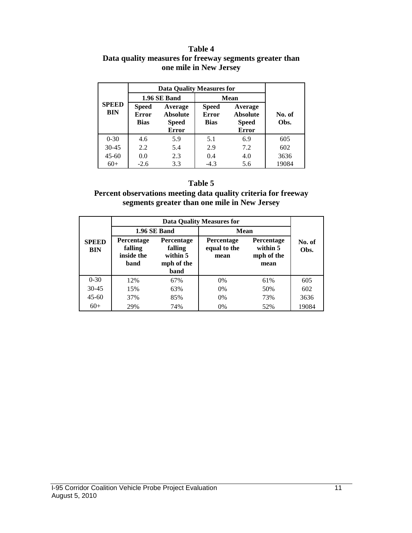#### **Table 4 Data quality measures for freeway segments greater than one mile in New Jersey**

|                            |                                                                                                    | <b>Data Quality Measures for</b> |                                                                                                           |             |                |  |  |
|----------------------------|----------------------------------------------------------------------------------------------------|----------------------------------|-----------------------------------------------------------------------------------------------------------|-------------|----------------|--|--|
|                            |                                                                                                    | 1.96 SE Band                     |                                                                                                           | <b>Mean</b> |                |  |  |
| <b>SPEED</b><br><b>BIN</b> | Average<br><b>Speed</b><br><b>Error</b><br><b>Absolute</b><br>Bias<br><b>Speed</b><br><b>Error</b> |                                  | <b>Speed</b><br>Average<br><b>Error</b><br><b>Absolute</b><br><b>Bias</b><br><b>Speed</b><br><b>Error</b> |             | No. of<br>Obs. |  |  |
| $0 - 30$                   | 4.6                                                                                                | 5.9                              | 5.1                                                                                                       | 6.9         | 605            |  |  |
| $30 - 45$                  | 2.2                                                                                                | 5.4                              | 2.9                                                                                                       | 7.2         | 602            |  |  |
| $45 - 60$                  | 0.0                                                                                                | 2.3                              | 0.4                                                                                                       | 4.0         | 3636           |  |  |
| $60+$                      | $-2.6$                                                                                             | 3.3                              | $-4.3$                                                                                                    | 5.6         | 19084          |  |  |

#### **Table 5**

#### **Percent observations meeting data quality criteria for freeway segments greater than one mile in New Jersey**

|                            |                                                    |                                                         | Data Quality Measures for                 |                                                     |                |  |  |
|----------------------------|----------------------------------------------------|---------------------------------------------------------|-------------------------------------------|-----------------------------------------------------|----------------|--|--|
|                            |                                                    | 1.96 SE Band                                            |                                           | Mean                                                |                |  |  |
| <b>SPEED</b><br><b>BIN</b> | <b>Percentage</b><br>falling<br>inside the<br>band | Percentage<br>falling<br>within 5<br>mph of the<br>band | <b>Percentage</b><br>equal to the<br>mean | <b>Percentage</b><br>within 5<br>mph of the<br>mean | No. of<br>Obs. |  |  |
| $0 - 30$                   | 12%                                                | 67%                                                     | $0\%$                                     | 61%                                                 | 605            |  |  |
| $30 - 45$                  | 15%                                                | 63%                                                     | 0%                                        | 50%                                                 | 602            |  |  |
| $45 - 60$                  | 37%                                                | 85%                                                     | $0\%$                                     | 73%                                                 | 3636           |  |  |
| $60+$                      | 29%                                                | 74%                                                     | 0%                                        | 52%                                                 | 19084          |  |  |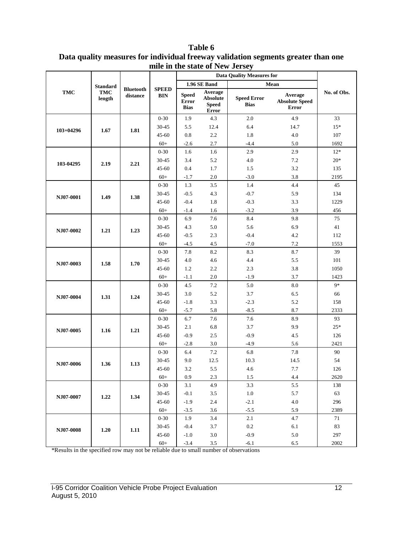|             |                 |                              |                            |                                      |                                                     | <b>Data Quality Measures for</b>  |                                                  |             |
|-------------|-----------------|------------------------------|----------------------------|--------------------------------------|-----------------------------------------------------|-----------------------------------|--------------------------------------------------|-------------|
|             | <b>Standard</b> |                              |                            |                                      | 1.96 SE Band                                        |                                   | Mean                                             |             |
| <b>TMC</b>  | TMC<br>length   | <b>Bluetooth</b><br>distance | <b>SPEED</b><br><b>BIN</b> | <b>Speed</b><br>Error<br><b>Bias</b> | Average<br><b>Absolute</b><br><b>Speed</b><br>Error | <b>Speed Error</b><br><b>Bias</b> | Average<br><b>Absolute Speed</b><br><b>Error</b> | No. of Obs. |
|             |                 |                              | $0 - 30$                   | 1.9                                  | 4.3                                                 | 2.0                               | 4.9                                              | 33          |
| $103+04296$ | 1.67            | 1.81                         | 30-45                      | 5.5                                  | 12.4                                                | 6.4                               | 14.7                                             | $15*$       |
|             |                 |                              | $45 - 60$                  | 0.8                                  | 2.2                                                 | 1.8                               | 4.0                                              | 107         |
|             |                 |                              | $60+$                      | $-2.6$                               | 2.7                                                 | $-4.4$                            | 5.0                                              | 1692        |
|             |                 |                              | $0 - 30$                   | 1.6                                  | 1.6                                                 | 2.9                               | 2.9                                              | $12*$       |
| 103-04295   | 2.19            | 2.21                         | 30-45                      | 3.4                                  | 5.2                                                 | $4.0\,$                           | 7.2                                              | $20*$       |
|             |                 |                              | $45 - 60$                  | 0.4                                  | 1.7                                                 | 1.5                               | 3.2                                              | 135         |
|             |                 |                              | $60+$                      | $-1.7$                               | 2.0                                                 | $-3.0$                            | 3.8                                              | 2195        |
|             |                 |                              | $0 - 30$                   | 1.3                                  | 3.5                                                 | 1.4                               | 4.4                                              | 45          |
| NJ07-0001   | 1.49            | 1.38                         | 30-45                      | $-0.5$                               | 4.3                                                 | $-0.7$                            | 5.9                                              | 134         |
|             |                 |                              | $45 - 60$                  | $-0.4$                               | 1.8                                                 | $-0.3$                            | 3.3                                              | 1229        |
|             |                 |                              | $60+$                      | $-1.4$                               | 1.6                                                 | $-3.2$                            | 3.9                                              | 456         |
|             |                 |                              | $0 - 30$                   | 6.9                                  | 7.6                                                 | 8.4                               | 9.8                                              | 75          |
| NJ07-0002   | 1.21            | 1.23                         | 30-45                      | 4.3                                  | 5.0                                                 | 5.6                               | 6.9                                              | 41          |
|             |                 |                              | $45 - 60$                  | $-0.5$                               | 2.3                                                 | $-0.4$                            | 4.2                                              | 112         |
|             |                 |                              | $60+$                      | $-4.5$                               | 4.5                                                 | $-7.0$                            | 7.2                                              | 1553        |
|             |                 |                              | $0 - 30$                   | 7.8                                  | 8.2                                                 | 8.3                               | 8.7                                              | 39          |
| NJ07-0003   | 1.58            | 1.70                         | 30-45                      | 4.0                                  | 4.6                                                 | 4.4                               | 5.5                                              | 101         |
|             |                 |                              | $45 - 60$                  | 1.2                                  | 2.2                                                 | 2.3                               | 3.8                                              | 1050        |
|             |                 |                              | $60+$                      | $-1.1$                               | 2.0                                                 | $-1.9$                            | 3.7                                              | 1423        |
|             |                 |                              | $0 - 30$                   | 4.5                                  | 7.2                                                 | 5.0                               | 8.0                                              | $9*$        |
| NJ07-0004   | 1.31            | 1.24                         | 30-45                      | 3.0                                  | 5.2                                                 | 3.7                               | 6.5                                              | 66          |
|             |                 |                              | $45 - 60$                  | $-1.8$                               | 3.3                                                 | $-2.3$                            | 5.2                                              | 158         |
|             |                 |                              | $60+$                      | $-5.7$                               | 5.8                                                 | $-8.5$                            | 8.7                                              | 2333        |
|             |                 |                              | $0 - 30$                   | 6.7                                  | 7.6                                                 | 7.6                               | 8.9                                              | 93          |
| NJ07-0005   | 1.16            | 1.21                         | 30-45                      | 2.1                                  | 6.8                                                 | 3.7                               | 9.9                                              | $25*$       |
|             |                 |                              | $45 - 60$                  | $-0.9$                               | 2.5                                                 | $-0.9$                            | 4.5                                              | 126         |
|             |                 |                              | $60+$                      | $-2.8$                               | 3.0                                                 | $-4.9$                            | 5.6                                              | 2421        |
|             |                 |                              | $0 - 30$                   | 6.4                                  | 7.2                                                 | 6.8                               | 7.8                                              | 90          |
| NJ07-0006   | 1.36            | 1.13                         | 30-45                      | 9.0                                  | 12.5                                                | 10.3                              | 14.5                                             | 54          |
|             |                 |                              | $45 - 60$                  | 3.2                                  | 5.5                                                 | 4.6                               | 7.7                                              | 126         |
|             |                 |                              | $60+$                      | 0.9                                  | 2.3                                                 | 1.5                               | 4.4                                              | 2620        |
|             |                 |                              | $0 - 30$                   | 3.1                                  | 4.9                                                 | 3.3                               | 5.5                                              | 138         |
| NJ07-0007   | 1.22            | 1.34                         | 30-45                      | $-0.1$                               | 3.5                                                 | 1.0                               | 5.7                                              | 63          |
|             |                 |                              | $45 - 60$                  | $-1.9$                               | 2.4                                                 | $-2.1$                            | 4.0                                              | 296         |
|             |                 |                              | $60+$                      | $-3.5$                               | 3.6                                                 | $-5.5$                            | 5.9                                              | 2389        |
|             |                 |                              | $0 - 30$                   | 1.9                                  | 3.4                                                 | 2.1                               | 4.7                                              | 71          |
| NJ07-0008   | 1.20            | 1.11                         | $30 - 45$                  | $-0.4$                               | 3.7                                                 | 0.2<br>$-0.9$                     | 6.1                                              | 83<br>297   |
|             |                 |                              | $45 - 60$                  | $-1.0$                               | $3.0\,$                                             |                                   | 5.0                                              | 2002        |
|             |                 |                              | $60+$                      | $-3.4$                               | $3.5\,$                                             | $-6.1$                            | 6.5                                              |             |

**Table 6 Data quality measures for individual freeway validation segments greater than one mile in the state of New Jersey**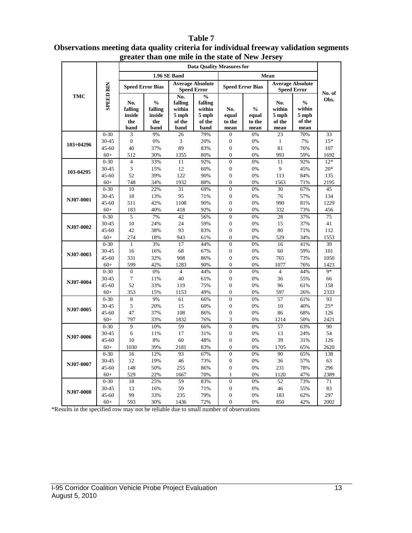#### **Data Quality Measures for 1.96 SE Band Mean Speed Error Bias Average Absolute Speed Error Speed Error Speed Error Bias Average Absolute SPEED BIN SPEED BIN Speed Error No. of TMC No.**   $\frac{6}{6}$ **Obs. falling falling**   $\frac{6}{6}$ **No. % No. falling falling % within within within within No. inside inside 5 mph 5 mph equal equal 5 mph 5 mph the the of the of the to the to the of the of the band band band band mean mean mean mean** 0-30 3 9% 26 79% 0 0% 23 70% 33 30-45 0 0% 3 20% 0 0% 1 7% 15\* **103+04296** 45-60 40 37% 89 83% 0 0% 81 76% 107 60+ 512 30% 1355 80% 0 0% 993 59% 1692 0-30 4 33% 11 92% 0 0% 11 92% 12\* 30-45 3 15% 12 60% 0 0% 9 45% 20\* **103-04295**  45-60 52 39% 122 90% 0 0% 113 84% 135 60+ 748 34% 1932 88% 0 0% 1563 71% 2195 0-30 10 22% 31 69% 0 0% 30 67% 45 30-45 18 13% 95 71% 0 0% 76 57% 134 **NJ07-0001** 45-60 511 42% 1108 90% 0 0% 990 81% 1229 60+ 183 40% 418 92% 0 0% 332 73% 456 0-30 5 7% 42 56% 0 0% 28 37% 75 30-45 10 24% 24 59% 0 0% 15 37% 41 **NJ07-0002** 45-60 42 38% 93 83% 0 0% 80 71% 112 60+ 274 18% 943 61% 0 0% 529 34% 1553 0-30 1 3% 17 44% 0 0% 16 41% 39 30-45 16 16% 68 67% 0 0% 60 59% 101 **NJ07-0003** 45-60 331 32% 908 86% 0 0% 765 73% 1050 60+ 599 42% 1283 90% 0 0% 1077 76% 1423  $0-30$  0  $0\%$  4 44% 0  $0\%$  4 44% 9\* 30-45 7 11% 40 61% 0 0% 36 55% 66 **NJ07-0004** 45-60 52 33% 119 75% 0 0% 96 61% 158 60+ 353 15% 1153 49% 0 0% 597 26% 2333 0-30 8 9% 61 66% 0 0% 57 61% 93 30-45 5 20% 15 60% 0 0% 10 40% 25\* **NJ07-0005** 45-60 47 37% 108 86% 0 0% 86 68% 126 60+ 797 33% 1832 76% 3 0% 1214 50% 2421 0-30 9 10% 59 66% 0 0% 57 63% 90 30-45 6 11% 17 31% 0 0% 13 24% 54 **NJ07-0006** 45-60 10 8% 60 48% 0 0% 39 31% 126 60+ 1030 39% 2181 83% 0 0% 1705 65% 2620 0-30 16 12% 93 67% 0 0% 90 65% 138 30-45 12 19% 46 73% 0 0% 36 57% 63 **NJ07-0007** 45-60 148 50% 255 86% 0 0% 231 78% 296 60+ 529 22% 1667 70% 1 0% 1120 47% 2389 0-30 18 25% 59 83% 0 0% 52 73% 71 30-45 13 16% 59 71% 0 0% 46 55% 83 **NJ07-0008** 45-60 99 33% 235 79% 0 0% 183 62% 297 60+ 593 30% 1436 72% 0 0% 850 42% 2002

#### **Table 7 Observations meeting data quality criteria for individual freeway validation segments greater than one mile in the state of New Jersey**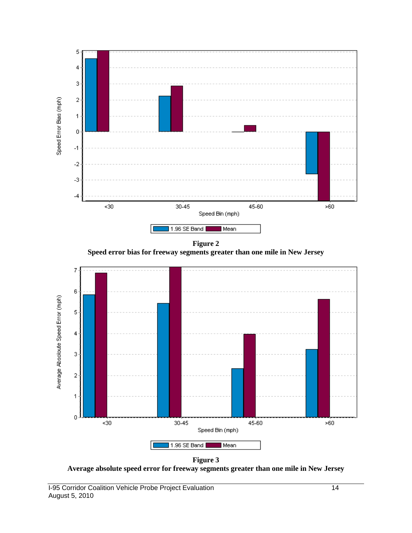

**Figure 2 Speed error bias for freeway segments greater than one mile in New Jersey**



**Figure 3 Average absolute speed error for freeway segments greater than one mile in New Jersey**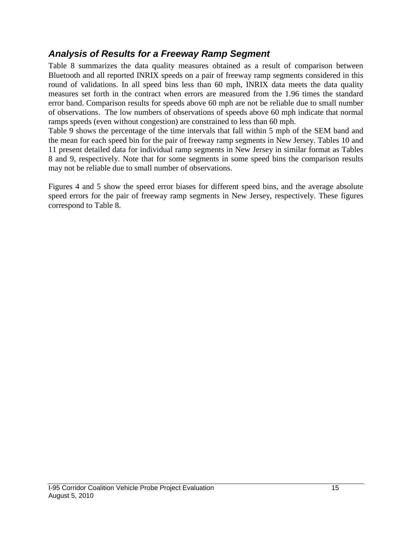### *Analysis of Results for a Freeway Ramp Segment*

Table 8 summarizes the data quality measures obtained as a result of comparison between Bluetooth and all reported INRIX speeds on a pair of freeway ramp segments considered in this round of validations. In all speed bins less than 60 mph, INRIX data meets the data quality measures set forth in the contract when errors are measured from the 1.96 times the standard error band. Comparison results for speeds above 60 mph are not be reliable due to small number of observations. The low numbers of observations of speeds above 60 mph indicate that normal ramps speeds (even without congestion) are constrained to less than 60 mph.

Table 9 shows the percentage of the time intervals that fall within 5 mph of the SEM band and the mean for each speed bin for the pair of freeway ramp segments in New Jersey. Tables 10 and 11 present detailed data for individual ramp segments in New Jersey in similar format as Tables 8 and 9, respectively. Note that for some segments in some speed bins the comparison results may not be reliable due to small number of observations.

Figures 4 and 5 show the speed error biases for different speed bins, and the average absolute speed errors for the pair of freeway ramp segments in New Jersey, respectively. These figures correspond to Table 8.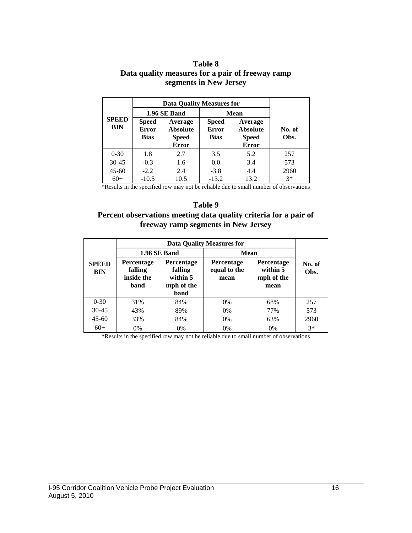|                     |                             | segments in New Jersey           |                             |                                 |                |  |  |  |  |
|---------------------|-----------------------------|----------------------------------|-----------------------------|---------------------------------|----------------|--|--|--|--|
|                     |                             | <b>Data Quality Measures for</b> |                             |                                 |                |  |  |  |  |
|                     |                             | 1.96 SE Band                     |                             | <b>Mean</b>                     |                |  |  |  |  |
| <b>SPEED</b><br>BIN | <b>Speed</b>                | Average                          | <b>Speed</b>                | Average                         |                |  |  |  |  |
|                     | <b>Error</b><br><b>Bias</b> | <b>Absolute</b><br><b>Speed</b>  | <b>Error</b><br><b>Bias</b> | <b>Absolute</b><br><b>Speed</b> | No. of<br>Obs. |  |  |  |  |
|                     |                             | <b>Error</b>                     |                             | <b>Error</b>                    |                |  |  |  |  |
| $0 - 30$            | 1.8                         | 2.7                              | 3.5                         | 5.2                             | 257            |  |  |  |  |

**Table 8 Data quality measures for a pair of freeway ramp**

60+ -10.5 10.5 -13.2 13.2 3\* \*Results in the specified row may not be reliable due to small number of observations

30-45 -0.3 1.6 0.0 3.4 573 45-60 -2.2 2.4 -3.8 4.4 2960

#### **Table 9**

#### **Percent observations meeting data quality criteria for a pair of freeway ramp segments in New Jersey**

|                            |                                             |                                                         | <b>Data Quality Measures for</b>          |                                              |                |  |
|----------------------------|---------------------------------------------|---------------------------------------------------------|-------------------------------------------|----------------------------------------------|----------------|--|
|                            |                                             | 1.96 SE Band                                            | <b>Mean</b>                               |                                              |                |  |
| <b>SPEED</b><br><b>BIN</b> | Percentage<br>falling<br>inside the<br>band | Percentage<br>falling<br>within 5<br>mph of the<br>band | <b>Percentage</b><br>equal to the<br>mean | Percentage<br>within 5<br>mph of the<br>mean | No. of<br>Obs. |  |
| $0 - 30$                   | 31%                                         | 84%                                                     | $0\%$                                     | 68%                                          | 257            |  |
| $30 - 45$                  | 43%                                         | 89%                                                     | $0\%$                                     | 77%                                          | 573            |  |
| $45 - 60$                  | 33%                                         | 84%                                                     | $0\%$                                     | 63%                                          | 2960           |  |
| $60+$                      | 0%                                          | $0\%$                                                   | 0%                                        | 0%                                           | $3*$           |  |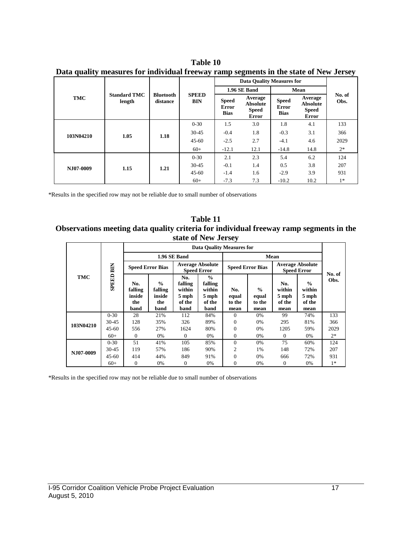| рам диангу тоаэигсэ юг тогулаан нээмду татр ээдтэно т ир эмээ огтоо дэгээ |                               |                              |                            |                                      |                                                            |                                             |                                                            |                |  |  |
|---------------------------------------------------------------------------|-------------------------------|------------------------------|----------------------------|--------------------------------------|------------------------------------------------------------|---------------------------------------------|------------------------------------------------------------|----------------|--|--|
| TMC                                                                       | <b>Standard TMC</b><br>length | <b>Bluetooth</b><br>distance | <b>SPEED</b><br><b>BIN</b> | <b>Data Quality Measures for</b>     |                                                            |                                             |                                                            |                |  |  |
|                                                                           |                               |                              |                            | 1.96 SE Band                         |                                                            | Mean                                        |                                                            |                |  |  |
|                                                                           |                               |                              |                            | <b>Speed</b><br>Error<br><b>Bias</b> | Average<br><b>Absolute</b><br><b>Speed</b><br><b>Error</b> | <b>Speed</b><br><b>Error</b><br><b>Bias</b> | Average<br><b>Absolute</b><br><b>Speed</b><br><b>Error</b> | No. of<br>Obs. |  |  |
| 103N04210                                                                 | 1.05                          | 1.18                         | $0 - 30$                   | 1.5                                  | 3.0                                                        | 1.8                                         | 4.1                                                        | 133            |  |  |
|                                                                           |                               |                              | $30 - 45$                  | $-0.4$                               | 1.8                                                        | $-0.3$                                      | 3.1                                                        | 366            |  |  |
|                                                                           |                               |                              | $45 - 60$                  | $-2.5$                               | 2.7                                                        | $-4.1$                                      | 4.6                                                        | 2029           |  |  |
|                                                                           |                               |                              | $60+$                      | $-12.1$                              | 12.1                                                       | $-14.8$                                     | 14.8                                                       | $2*$           |  |  |
| NJ07-0009                                                                 | 1.15                          | 1.21                         | $0 - 30$                   | 2.1                                  | 2.3                                                        | 5.4                                         | 6.2                                                        | 124            |  |  |
|                                                                           |                               |                              | $30 - 45$                  | $-0.1$                               | 1.4                                                        | 0.5                                         | 3.8                                                        | 207            |  |  |
|                                                                           |                               |                              | $45 - 60$                  | $-1.4$                               | 1.6                                                        | $-2.9$                                      | 3.9                                                        | 931            |  |  |
|                                                                           |                               |                              | $60+$                      | $-7.3$                               | 7.3                                                        | $-10.2$                                     | 10.2                                                       | $1*$           |  |  |

**Table 10 Data quality measures for individual freeway ramp segments in the state of New Jersey**

\*Results in the specified row may not be reliable due to small number of observations

#### **Table 11 Observations meeting data quality criteria for individual freeway ramp segments in the state of New Jersey**

| <b>TMC</b> | BIN<br><b>GREED</b> | <b>Data Quality Measures for</b> |                                           |                                               |                                                       |                         |                                  |                                               |                                            |        |
|------------|---------------------|----------------------------------|-------------------------------------------|-----------------------------------------------|-------------------------------------------------------|-------------------------|----------------------------------|-----------------------------------------------|--------------------------------------------|--------|
|            |                     | 1.96 SE Band                     |                                           |                                               |                                                       | Mean                    |                                  |                                               |                                            |        |
|            |                     | <b>Speed Error Bias</b>          |                                           | <b>Average Absolute</b><br><b>Speed Error</b> |                                                       | <b>Speed Error Bias</b> |                                  | <b>Average Absolute</b><br><b>Speed Error</b> |                                            | No. of |
|            |                     | No.<br>falling<br>inside<br>the  | $\frac{0}{0}$<br>falling<br>inside<br>the | No.<br>falling<br>within<br>5 mph<br>of the   | $\frac{0}{0}$<br>falling<br>within<br>5 mph<br>of the | No.<br>equal<br>to the  | $\frac{0}{0}$<br>equal<br>to the | No.<br>within<br>5 mph<br>of the              | $\frac{6}{6}$<br>within<br>5 mph<br>of the | Obs.   |
|            |                     | band                             | band                                      | band                                          | band                                                  | mean                    | mean                             | mean                                          | mean                                       |        |
| 103N04210  | $0 - 30$            | 28                               | 21%                                       | 112                                           | 84%                                                   | $\Omega$                | 0%                               | 99                                            | 74%                                        | 133    |
|            | $30 - 45$           | 128                              | 35%                                       | 326                                           | 89%                                                   | $\Omega$                | 0%                               | 295                                           | 81%                                        | 366    |
|            | $45 - 60$           | 556                              | 27%                                       | 1624                                          | 80%                                                   | $\Omega$                | 0%                               | 1205                                          | 59%                                        | 2029   |
|            | $60+$               | $\Omega$                         | 0%                                        | $\mathbf{0}$                                  | 0%                                                    | 0                       | 0%                               | $\Omega$                                      | 0%                                         | $2*$   |
| NJ07-0009  | $0 - 30$            | 51                               | 41%                                       | 105                                           | 85%                                                   | $\Omega$                | 0%                               | 75                                            | 60%                                        | 124    |
|            | 30-45               | 119                              | 57%                                       | 186                                           | 90%                                                   | $\overline{c}$          | 1%                               | 148                                           | 72%                                        | 207    |
|            | $45 - 60$           | 414                              | 44%                                       | 849                                           | 91%                                                   | $\Omega$                | 0%                               | 666                                           | 72%                                        | 931    |
|            | $60+$               | $\mathbf{0}$                     | 0%                                        | 0                                             | 0%                                                    | $\mathbf{0}$            | 0%                               | 0                                             | 0%                                         | $1*$   |